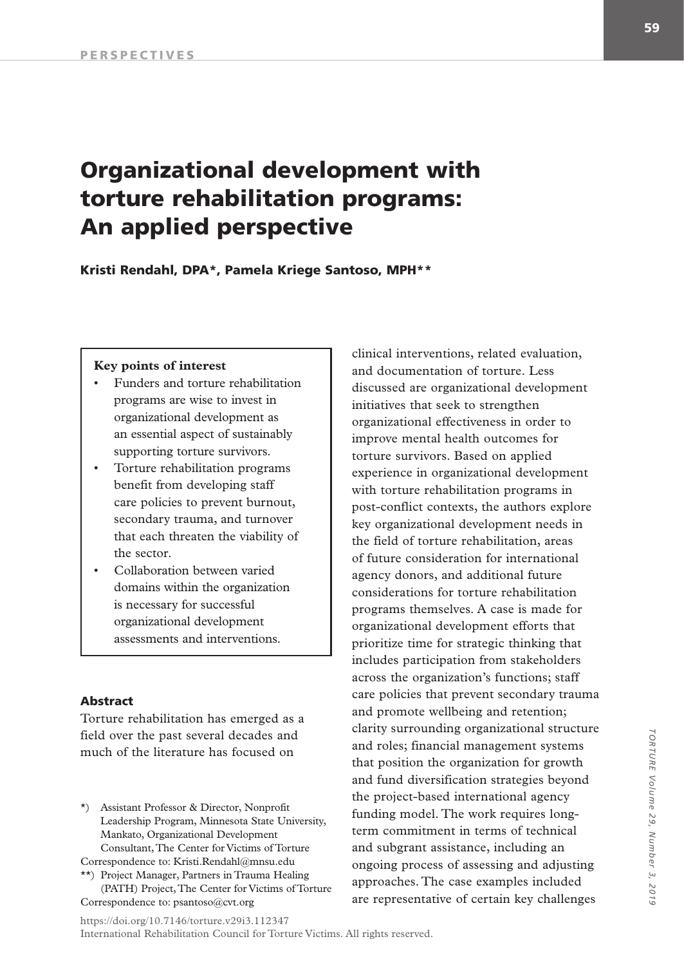# Organizational development with torture rehabilitation programs: An applied perspective

Kristi Rendahl, DPA\*, Pamela Kriege Santoso, MPH\*\*

#### **Key points of interest**

- Funders and torture rehabilitation programs are wise to invest in organizational development as an essential aspect of sustainably supporting torture survivors.
- Torture rehabilitation programs benefit from developing staff care policies to prevent burnout, secondary trauma, and turnover that each threaten the viability of the sector.
- Collaboration between varied domains within the organization is necessary for successful organizational development assessments and interventions.

#### Abstract

Torture rehabilitation has emerged as a field over the past several decades and much of the literature has focused on

\*) Assistant Professor & Director, Nonprofit Leadership Program, Minnesota State University, Mankato, Organizational Development Consultant, The Center for Victims of Torture

Correspondence to: Kristi.Rendahl@mnsu.edu \*\*) Project Manager, Partners in Trauma Healing

(PATH) Project, The Center for Victims of Torture Correspondence to: psantoso@cvt.org

clinical interventions, related evaluation, and documentation of torture. Less discussed are organizational development initiatives that seek to strengthen organizational effectiveness in order to improve mental health outcomes for torture survivors. Based on applied experience in organizational development with torture rehabilitation programs in post-conflict contexts, the authors explore key organizational development needs in the field of torture rehabilitation, areas of future consideration for international agency donors, and additional future considerations for torture rehabilitation programs themselves. A case is made for organizational development efforts that prioritize time for strategic thinking that includes participation from stakeholders across the organization's functions; staff care policies that prevent secondary trauma and promote wellbeing and retention; clarity surrounding organizational structure and roles; financial management systems that position the organization for growth and fund diversification strategies beyond the project-based international agency funding model. The work requires longterm commitment in terms of technical and subgrant assistance, including an ongoing process of assessing and adjusting approaches. The case examples included are representative of certain key challenges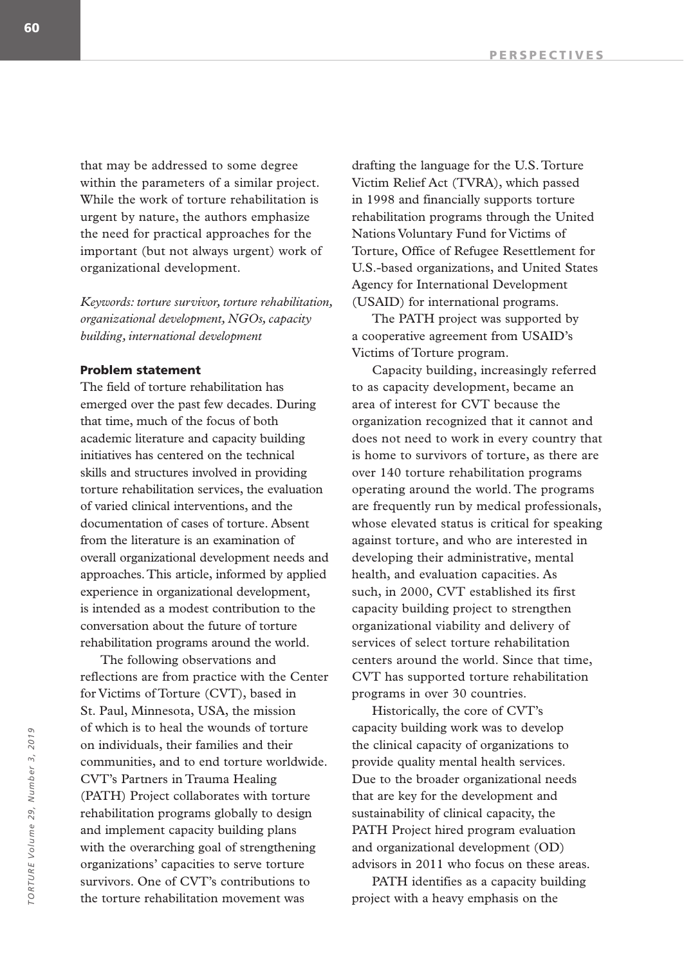that may be addressed to some degree within the parameters of a similar project. While the work of torture rehabilitation is urgent by nature, the authors emphasize the need for practical approaches for the important (but not always urgent) work of organizational development.

*Keywords: torture survivor, torture rehabilitation, organizational development, NGOs, capacity building, international development*

## Problem statement

The field of torture rehabilitation has emerged over the past few decades. During that time, much of the focus of both academic literature and capacity building initiatives has centered on the technical skills and structures involved in providing torture rehabilitation services, the evaluation of varied clinical interventions, and the documentation of cases of torture. Absent from the literature is an examination of overall organizational development needs and approaches. This article, informed by applied experience in organizational development, is intended as a modest contribution to the conversation about the future of torture rehabilitation programs around the world.

The following observations and reflections are from practice with the Center for Victims of Torture (CVT), based in St. Paul, Minnesota, USA, the mission of which is to heal the wounds of torture on individuals, their families and their communities, and to end torture worldwide. CVT's Partners in Trauma Healing (PATH) Project collaborates with torture rehabilitation programs globally to design and implement capacity building plans with the overarching goal of strengthening organizations' capacities to serve torture survivors. One of CVT's contributions to the torture rehabilitation movement was

drafting the language for the U.S. Torture Victim Relief Act (TVRA), which passed in 1998 and financially supports torture rehabilitation programs through the United Nations Voluntary Fund for Victims of Torture, Office of Refugee Resettlement for U.S.-based organizations, and United States Agency for International Development (USAID) for international programs.

The PATH project was supported by a cooperative agreement from USAID's Victims of Torture program.

Capacity building, increasingly referred to as capacity development, became an area of interest for CVT because the organization recognized that it cannot and does not need to work in every country that is home to survivors of torture, as there are over 140 torture rehabilitation programs operating around the world. The programs are frequently run by medical professionals, whose elevated status is critical for speaking against torture, and who are interested in developing their administrative, mental health, and evaluation capacities. As such, in 2000, CVT established its first capacity building project to strengthen organizational viability and delivery of services of select torture rehabilitation centers around the world. Since that time, CVT has supported torture rehabilitation programs in over 30 countries.

Historically, the core of CVT's capacity building work was to develop the clinical capacity of organizations to provide quality mental health services. Due to the broader organizational needs that are key for the development and sustainability of clinical capacity, the PATH Project hired program evaluation and organizational development (OD) advisors in 2011 who focus on these areas.

PATH identifies as a capacity building project with a heavy emphasis on the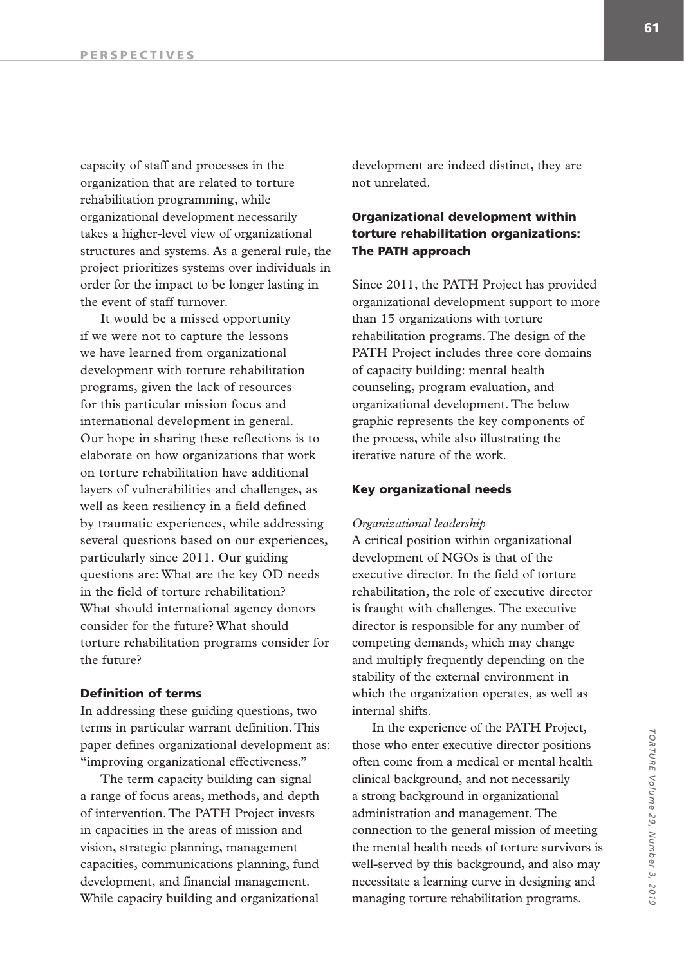capacity of staff and processes in the organization that are related to torture rehabilitation programming, while organizational development necessarily takes a higher-level view of organizational structures and systems. As a general rule, the project prioritizes systems over individuals in order for the impact to be longer lasting in the event of staff turnover.

It would be a missed opportunity if we were not to capture the lessons we have learned from organizational development with torture rehabilitation programs, given the lack of resources for this particular mission focus and international development in general. Our hope in sharing these reflections is to elaborate on how organizations that work on torture rehabilitation have additional layers of vulnerabilities and challenges, as well as keen resiliency in a field defined by traumatic experiences, while addressing several questions based on our experiences, particularly since 2011. Our guiding questions are: What are the key OD needs in the field of torture rehabilitation? What should international agency donors consider for the future? What should torture rehabilitation programs consider for the future?

## Definition of terms

In addressing these guiding questions, two terms in particular warrant definition. This paper defines organizational development as: "improving organizational effectiveness."

The term capacity building can signal a range of focus areas, methods, and depth of intervention. The PATH Project invests in capacities in the areas of mission and vision, strategic planning, management capacities, communications planning, fund development, and financial management. While capacity building and organizational

development are indeed distinct, they are not unrelated.

# Organizational development within torture rehabilitation organizations: The PATH approach

Since 2011, the PATH Project has provided organizational development support to more than 15 organizations with torture rehabilitation programs. The design of the PATH Project includes three core domains of capacity building: mental health counseling, program evaluation, and organizational development. The below graphic represents the key components of the process, while also illustrating the iterative nature of the work.

## Key organizational needs

#### *Organizational leadership*

A critical position within organizational development of NGOs is that of the executive director. In the field of torture rehabilitation, the role of executive director is fraught with challenges. The executive director is responsible for any number of competing demands, which may change and multiply frequently depending on the stability of the external environment in which the organization operates, as well as internal shifts.

In the experience of the PATH Project, those who enter executive director positions often come from a medical or mental health clinical background, and not necessarily a strong background in organizational administration and management. The connection to the general mission of meeting the mental health needs of torture survivors is well-served by this background, and also may necessitate a learning curve in designing and managing torture rehabilitation programs.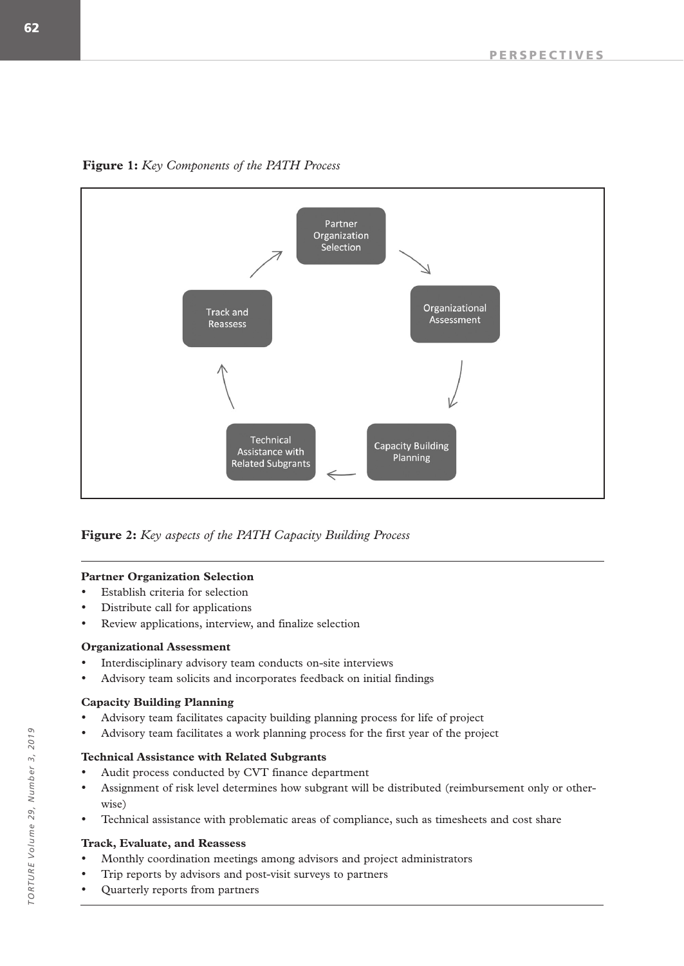**Figure 1:** *Key Components of the PATH Process*



**Figure 2:** *Key aspects of the PATH Capacity Building Process*

## **Partner Organization Selection**

- Establish criteria for selection
- Distribute call for applications
- Review applications, interview, and finalize selection

# **Organizational Assessment**

- Interdisciplinary advisory team conducts on-site interviews
- Advisory team solicits and incorporates feedback on initial findings

# **Capacity Building Planning**

- Advisory team facilitates capacity building planning process for life of project
- Advisory team facilitates a work planning process for the first year of the project

# **Technical Assistance with Related Subgrants**

- Audit process conducted by CVT finance department
- Assignment of risk level determines how subgrant will be distributed (reimbursement only or otherwise)
- Technical assistance with problematic areas of compliance, such as timesheets and cost share

## **Track, Evaluate, and Reassess**

- Monthly coordination meetings among advisors and project administrators
- Trip reports by advisors and post-visit surveys to partners
- Quarterly reports from partners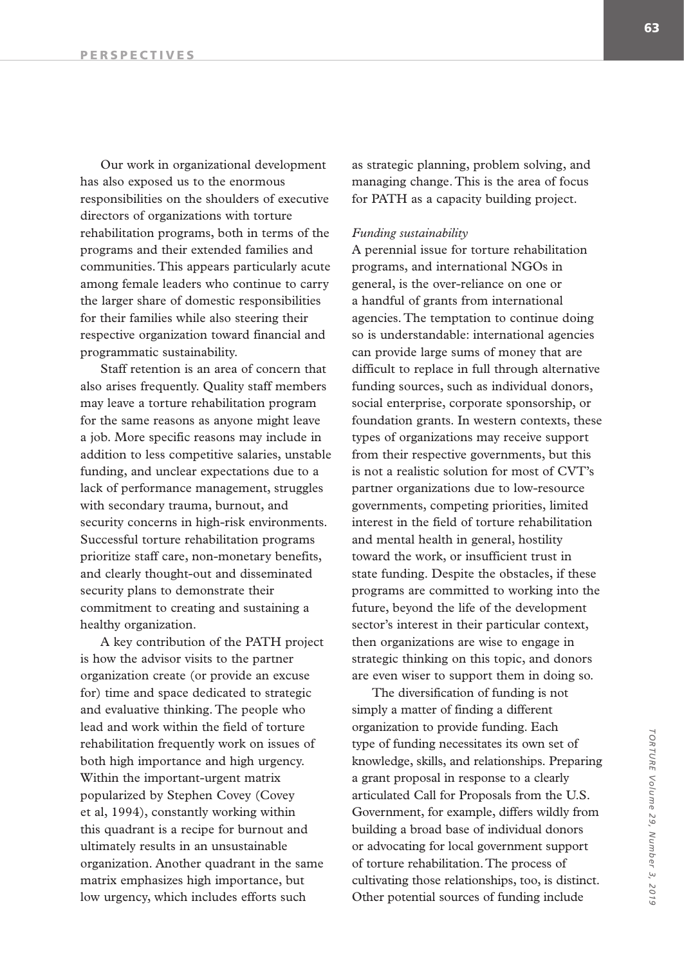Our work in organizational development has also exposed us to the enormous responsibilities on the shoulders of executive directors of organizations with torture rehabilitation programs, both in terms of the programs and their extended families and communities. This appears particularly acute among female leaders who continue to carry the larger share of domestic responsibilities for their families while also steering their respective organization toward financial and programmatic sustainability.

Staff retention is an area of concern that also arises frequently. Quality staff members may leave a torture rehabilitation program for the same reasons as anyone might leave a job. More specific reasons may include in addition to less competitive salaries, unstable funding, and unclear expectations due to a lack of performance management, struggles with secondary trauma, burnout, and security concerns in high-risk environments. Successful torture rehabilitation programs prioritize staff care, non-monetary benefits, and clearly thought-out and disseminated security plans to demonstrate their commitment to creating and sustaining a healthy organization.

A key contribution of the PATH project is how the advisor visits to the partner organization create (or provide an excuse for) time and space dedicated to strategic and evaluative thinking. The people who lead and work within the field of torture rehabilitation frequently work on issues of both high importance and high urgency. Within the important-urgent matrix popularized by Stephen Covey (Covey et al, 1994), constantly working within this quadrant is a recipe for burnout and ultimately results in an unsustainable organization. Another quadrant in the same matrix emphasizes high importance, but low urgency, which includes efforts such

as strategic planning, problem solving, and managing change. This is the area of focus for PATH as a capacity building project.

#### *Funding sustainability*

A perennial issue for torture rehabilitation programs, and international NGOs in general, is the over-reliance on one or a handful of grants from international agencies. The temptation to continue doing so is understandable: international agencies can provide large sums of money that are difficult to replace in full through alternative funding sources, such as individual donors, social enterprise, corporate sponsorship, or foundation grants. In western contexts, these types of organizations may receive support from their respective governments, but this is not a realistic solution for most of CVT's partner organizations due to low-resource governments, competing priorities, limited interest in the field of torture rehabilitation and mental health in general, hostility toward the work, or insufficient trust in state funding. Despite the obstacles, if these programs are committed to working into the future, beyond the life of the development sector's interest in their particular context, then organizations are wise to engage in strategic thinking on this topic, and donors are even wiser to support them in doing so.

The diversification of funding is not simply a matter of finding a different organization to provide funding. Each type of funding necessitates its own set of knowledge, skills, and relationships. Preparing a grant proposal in response to a clearly articulated Call for Proposals from the U.S. Government, for example, differs wildly from building a broad base of individual donors or advocating for local government support of torture rehabilitation. The process of cultivating those relationships, too, is distinct. Other potential sources of funding include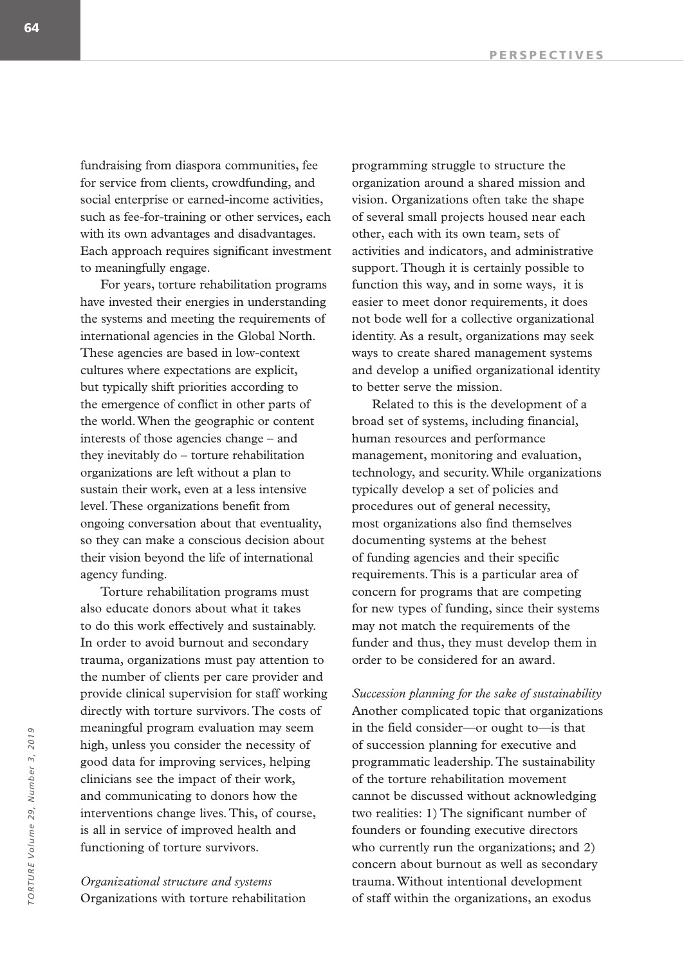fundraising from diaspora communities, fee for service from clients, crowdfunding, and social enterprise or earned-income activities, such as fee-for-training or other services, each with its own advantages and disadvantages. Each approach requires significant investment to meaningfully engage.

For years, torture rehabilitation programs have invested their energies in understanding the systems and meeting the requirements of international agencies in the Global North. These agencies are based in low-context cultures where expectations are explicit, but typically shift priorities according to the emergence of conflict in other parts of the world. When the geographic or content interests of those agencies change – and they inevitably do – torture rehabilitation organizations are left without a plan to sustain their work, even at a less intensive level. These organizations benefit from ongoing conversation about that eventuality, so they can make a conscious decision about their vision beyond the life of international agency funding.

Torture rehabilitation programs must also educate donors about what it takes to do this work effectively and sustainably. In order to avoid burnout and secondary trauma, organizations must pay attention to the number of clients per care provider and provide clinical supervision for staff working directly with torture survivors. The costs of meaningful program evaluation may seem high, unless you consider the necessity of good data for improving services, helping clinicians see the impact of their work, and communicating to donors how the interventions change lives. This, of course, is all in service of improved health and functioning of torture survivors.

*Organizational structure and systems* Organizations with torture rehabilitation programming struggle to structure the organization around a shared mission and vision. Organizations often take the shape of several small projects housed near each other, each with its own team, sets of activities and indicators, and administrative support. Though it is certainly possible to function this way, and in some ways, it is easier to meet donor requirements, it does not bode well for a collective organizational identity. As a result, organizations may seek ways to create shared management systems and develop a unified organizational identity to better serve the mission.

Related to this is the development of a broad set of systems, including financial, human resources and performance management, monitoring and evaluation, technology, and security. While organizations typically develop a set of policies and procedures out of general necessity, most organizations also find themselves documenting systems at the behest of funding agencies and their specific requirements. This is a particular area of concern for programs that are competing for new types of funding, since their systems may not match the requirements of the funder and thus, they must develop them in order to be considered for an award.

*Succession planning for the sake of sustainability* Another complicated topic that organizations in the field consider—or ought to—is that of succession planning for executive and programmatic leadership. The sustainability of the torture rehabilitation movement cannot be discussed without acknowledging two realities: 1) The significant number of founders or founding executive directors who currently run the organizations; and 2) concern about burnout as well as secondary trauma. Without intentional development of staff within the organizations, an exodus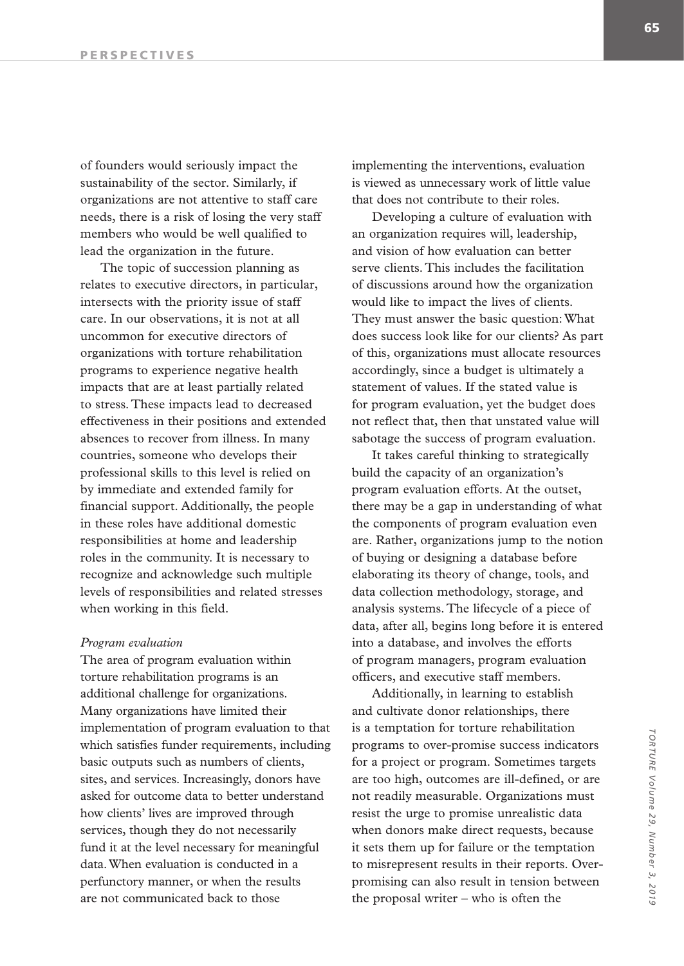of founders would seriously impact the sustainability of the sector. Similarly, if organizations are not attentive to staff care needs, there is a risk of losing the very staff members who would be well qualified to lead the organization in the future.

The topic of succession planning as relates to executive directors, in particular, intersects with the priority issue of staff care. In our observations, it is not at all uncommon for executive directors of organizations with torture rehabilitation programs to experience negative health impacts that are at least partially related to stress. These impacts lead to decreased effectiveness in their positions and extended absences to recover from illness. In many countries, someone who develops their professional skills to this level is relied on by immediate and extended family for financial support. Additionally, the people in these roles have additional domestic responsibilities at home and leadership roles in the community. It is necessary to recognize and acknowledge such multiple levels of responsibilities and related stresses when working in this field.

#### *Program evaluation*

The area of program evaluation within torture rehabilitation programs is an additional challenge for organizations. Many organizations have limited their implementation of program evaluation to that which satisfies funder requirements, including basic outputs such as numbers of clients, sites, and services. Increasingly, donors have asked for outcome data to better understand how clients' lives are improved through services, though they do not necessarily fund it at the level necessary for meaningful data. When evaluation is conducted in a perfunctory manner, or when the results are not communicated back to those

implementing the interventions, evaluation is viewed as unnecessary work of little value that does not contribute to their roles.

Developing a culture of evaluation with an organization requires will, leadership, and vision of how evaluation can better serve clients. This includes the facilitation of discussions around how the organization would like to impact the lives of clients. They must answer the basic question: What does success look like for our clients? As part of this, organizations must allocate resources accordingly, since a budget is ultimately a statement of values. If the stated value is for program evaluation, yet the budget does not reflect that, then that unstated value will sabotage the success of program evaluation.

It takes careful thinking to strategically build the capacity of an organization's program evaluation efforts. At the outset, there may be a gap in understanding of what the components of program evaluation even are. Rather, organizations jump to the notion of buying or designing a database before elaborating its theory of change, tools, and data collection methodology, storage, and analysis systems. The lifecycle of a piece of data, after all, begins long before it is entered into a database, and involves the efforts of program managers, program evaluation officers, and executive staff members.

Additionally, in learning to establish and cultivate donor relationships, there is a temptation for torture rehabilitation programs to over-promise success indicators for a project or program. Sometimes targets are too high, outcomes are ill-defined, or are not readily measurable. Organizations must resist the urge to promise unrealistic data when donors make direct requests, because it sets them up for failure or the temptation to misrepresent results in their reports. Overpromising can also result in tension between the proposal writer – who is often the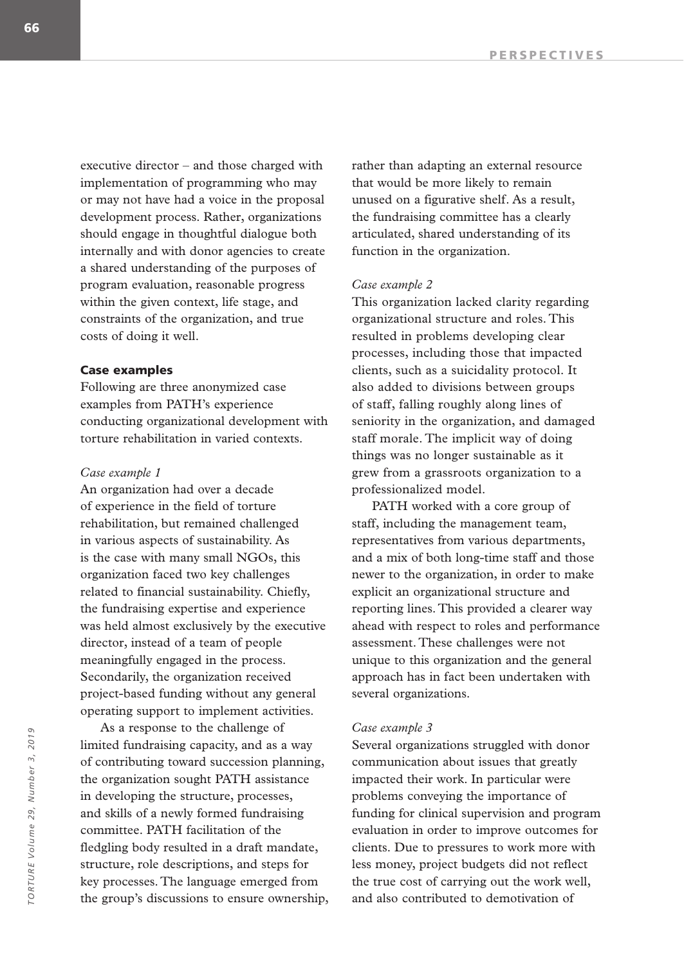executive director – and those charged with implementation of programming who may or may not have had a voice in the proposal development process. Rather, organizations should engage in thoughtful dialogue both internally and with donor agencies to create a shared understanding of the purposes of program evaluation, reasonable progress within the given context, life stage, and constraints of the organization, and true costs of doing it well.

#### Case examples

Following are three anonymized case examples from PATH's experience conducting organizational development with torture rehabilitation in varied contexts.

#### *Case example 1*

An organization had over a decade of experience in the field of torture rehabilitation, but remained challenged in various aspects of sustainability. As is the case with many small NGOs, this organization faced two key challenges related to financial sustainability. Chiefly, the fundraising expertise and experience was held almost exclusively by the executive director, instead of a team of people meaningfully engaged in the process. Secondarily, the organization received project-based funding without any general operating support to implement activities.

As a response to the challenge of limited fundraising capacity, and as a way of contributing toward succession planning, the organization sought PATH assistance in developing the structure, processes, and skills of a newly formed fundraising committee. PATH facilitation of the fledgling body resulted in a draft mandate, structure, role descriptions, and steps for key processes. The language emerged from the group's discussions to ensure ownership, rather than adapting an external resource that would be more likely to remain unused on a figurative shelf. As a result, the fundraising committee has a clearly articulated, shared understanding of its function in the organization.

#### *Case example 2*

This organization lacked clarity regarding organizational structure and roles. This resulted in problems developing clear processes, including those that impacted clients, such as a suicidality protocol. It also added to divisions between groups of staff, falling roughly along lines of seniority in the organization, and damaged staff morale. The implicit way of doing things was no longer sustainable as it grew from a grassroots organization to a professionalized model.

PATH worked with a core group of staff, including the management team, representatives from various departments, and a mix of both long-time staff and those newer to the organization, in order to make explicit an organizational structure and reporting lines. This provided a clearer way ahead with respect to roles and performance assessment. These challenges were not unique to this organization and the general approach has in fact been undertaken with several organizations.

#### *Case example 3*

Several organizations struggled with donor communication about issues that greatly impacted their work. In particular were problems conveying the importance of funding for clinical supervision and program evaluation in order to improve outcomes for clients. Due to pressures to work more with less money, project budgets did not reflect the true cost of carrying out the work well, and also contributed to demotivation of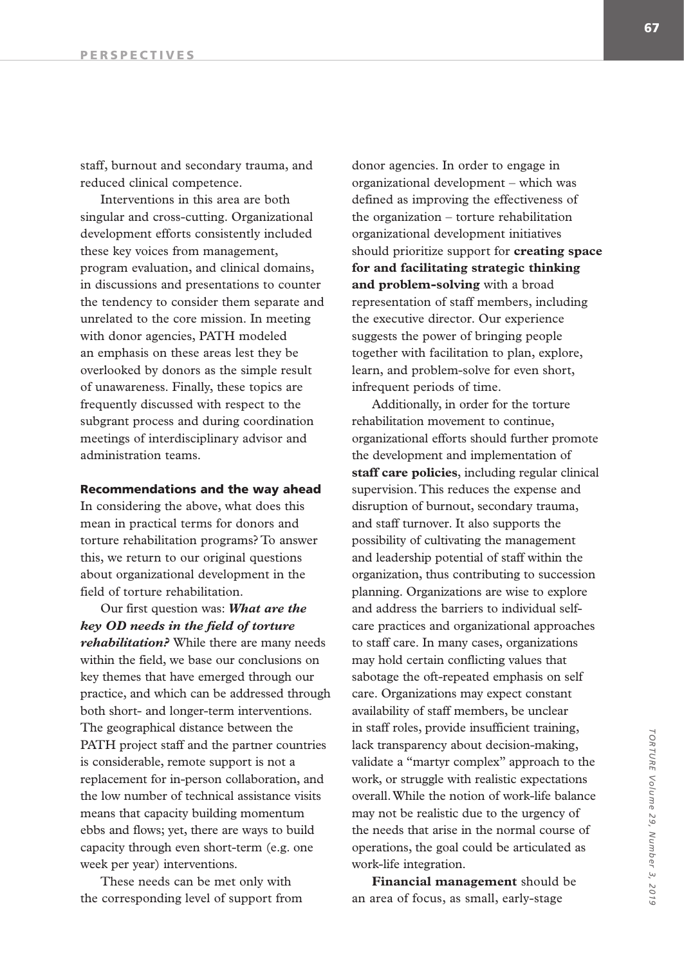staff, burnout and secondary trauma, and reduced clinical competence.

Interventions in this area are both singular and cross-cutting. Organizational development efforts consistently included these key voices from management, program evaluation, and clinical domains, in discussions and presentations to counter the tendency to consider them separate and unrelated to the core mission. In meeting with donor agencies, PATH modeled an emphasis on these areas lest they be overlooked by donors as the simple result of unawareness. Finally, these topics are frequently discussed with respect to the subgrant process and during coordination meetings of interdisciplinary advisor and administration teams.

#### Recommendations and the way ahead

In considering the above, what does this mean in practical terms for donors and torture rehabilitation programs? To answer this, we return to our original questions about organizational development in the field of torture rehabilitation.

Our first question was: *What are the key OD needs in the field of torture rehabilitation?* While there are many needs within the field, we base our conclusions on key themes that have emerged through our practice, and which can be addressed through both short- and longer-term interventions. The geographical distance between the PATH project staff and the partner countries is considerable, remote support is not a replacement for in-person collaboration, and the low number of technical assistance visits means that capacity building momentum ebbs and flows; yet, there are ways to build capacity through even short-term (e.g. one week per year) interventions.

These needs can be met only with the corresponding level of support from

donor agencies. In order to engage in organizational development – which was defined as improving the effectiveness of the organization – torture rehabilitation organizational development initiatives should prioritize support for **creating space for and facilitating strategic thinking and problem-solving** with a broad representation of staff members, including the executive director. Our experience suggests the power of bringing people together with facilitation to plan, explore, learn, and problem-solve for even short, infrequent periods of time.

Additionally, in order for the torture rehabilitation movement to continue, organizational efforts should further promote the development and implementation of **staff care policies**, including regular clinical supervision. This reduces the expense and disruption of burnout, secondary trauma, and staff turnover. It also supports the possibility of cultivating the management and leadership potential of staff within the organization, thus contributing to succession planning. Organizations are wise to explore and address the barriers to individual selfcare practices and organizational approaches to staff care. In many cases, organizations may hold certain conflicting values that sabotage the oft-repeated emphasis on self care. Organizations may expect constant availability of staff members, be unclear in staff roles, provide insufficient training, lack transparency about decision-making, validate a "martyr complex" approach to the work, or struggle with realistic expectations overall. While the notion of work-life balance may not be realistic due to the urgency of the needs that arise in the normal course of operations, the goal could be articulated as work-life integration.

**Financial management** should be an area of focus, as small, early-stage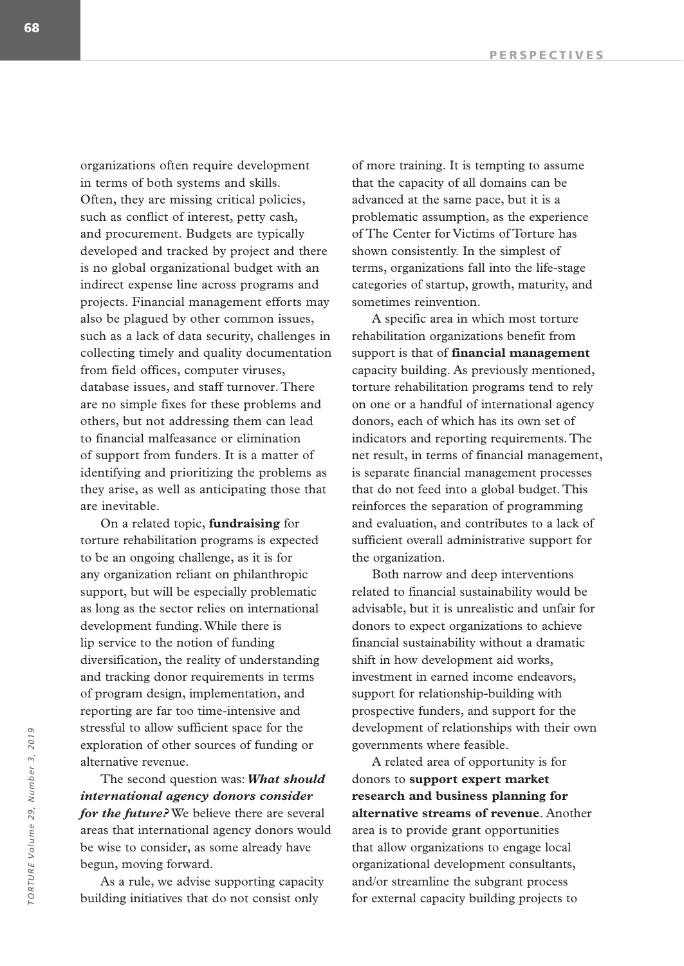organizations often require development in terms of both systems and skills. Often, they are missing critical policies, such as conflict of interest, petty cash, and procurement. Budgets are typically developed and tracked by project and there is no global organizational budget with an indirect expense line across programs and projects. Financial management efforts may also be plagued by other common issues, such as a lack of data security, challenges in collecting timely and quality documentation from field offices, computer viruses, database issues, and staff turnover. There are no simple fixes for these problems and others, but not addressing them can lead to financial malfeasance or elimination of support from funders. It is a matter of identifying and prioritizing the problems as they arise, as well as anticipating those that are inevitable.

On a related topic, **fundraising** for torture rehabilitation programs is expected to be an ongoing challenge, as it is for any organization reliant on philanthropic support, but will be especially problematic as long as the sector relies on international development funding. While there is lip service to the notion of funding diversification, the reality of understanding and tracking donor requirements in terms of program design, implementation, and reporting are far too time-intensive and stressful to allow sufficient space for the exploration of other sources of funding or alternative revenue.

The second question was: *What should international agency donors consider for the future?* We believe there are several areas that international agency donors would be wise to consider, as some already have begun, moving forward.

As a rule, we advise supporting capacity building initiatives that do not consist only

of more training. It is tempting to assume that the capacity of all domains can be advanced at the same pace, but it is a problematic assumption, as the experience of The Center for Victims of Torture has shown consistently. In the simplest of terms, organizations fall into the life-stage categories of startup, growth, maturity, and sometimes reinvention.

A specific area in which most torture rehabilitation organizations benefit from support is that of **financial management** capacity building. As previously mentioned, torture rehabilitation programs tend to rely on one or a handful of international agency donors, each of which has its own set of indicators and reporting requirements. The net result, in terms of financial management, is separate financial management processes that do not feed into a global budget. This reinforces the separation of programming and evaluation, and contributes to a lack of sufficient overall administrative support for the organization.

Both narrow and deep interventions related to financial sustainability would be advisable, but it is unrealistic and unfair for donors to expect organizations to achieve financial sustainability without a dramatic shift in how development aid works, investment in earned income endeavors, support for relationship-building with prospective funders, and support for the development of relationships with their own governments where feasible.

A related area of opportunity is for donors to **support expert market research and business planning for alternative streams of revenue**. Another area is to provide grant opportunities that allow organizations to engage local organizational development consultants, and/or streamline the subgrant process for external capacity building projects to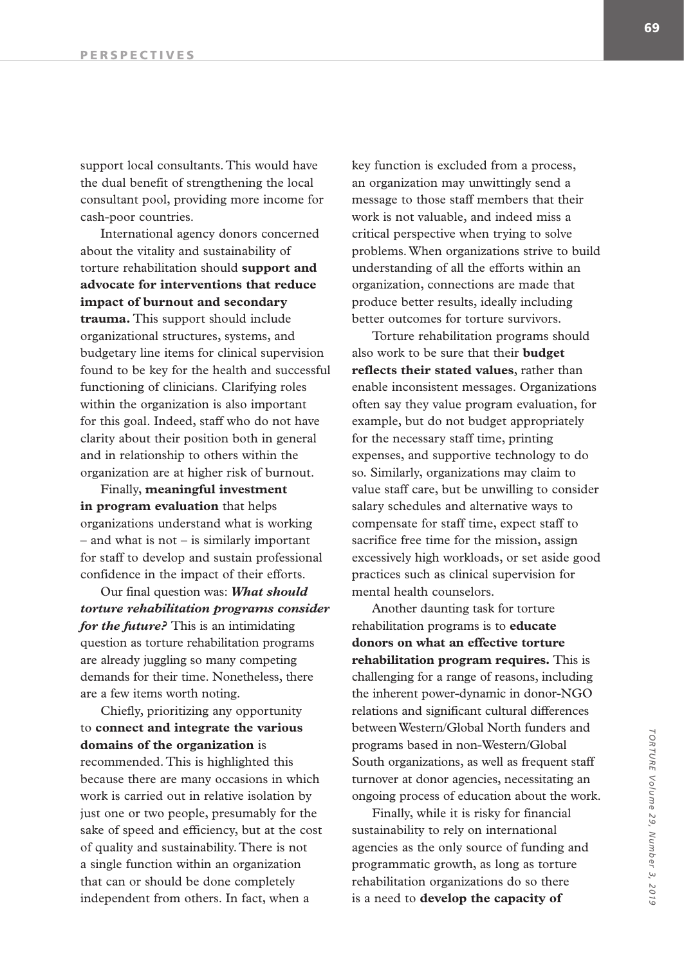support local consultants. This would have the dual benefit of strengthening the local consultant pool, providing more income for cash-poor countries.

International agency donors concerned about the vitality and sustainability of torture rehabilitation should **support and advocate for interventions that reduce impact of burnout and secondary trauma.** This support should include organizational structures, systems, and budgetary line items for clinical supervision found to be key for the health and successful functioning of clinicians. Clarifying roles within the organization is also important for this goal. Indeed, staff who do not have clarity about their position both in general and in relationship to others within the organization are at higher risk of burnout.

Finally, **meaningful investment in program evaluation** that helps organizations understand what is working – and what is not – is similarly important for staff to develop and sustain professional confidence in the impact of their efforts.

Our final question was: *What should torture rehabilitation programs consider for the future?* This is an intimidating question as torture rehabilitation programs are already juggling so many competing demands for their time. Nonetheless, there are a few items worth noting.

Chiefly, prioritizing any opportunity to **connect and integrate the various domains of the organization** is recommended. This is highlighted this because there are many occasions in which work is carried out in relative isolation by just one or two people, presumably for the sake of speed and efficiency, but at the cost of quality and sustainability. There is not a single function within an organization that can or should be done completely independent from others. In fact, when a

key function is excluded from a process, an organization may unwittingly send a message to those staff members that their work is not valuable, and indeed miss a critical perspective when trying to solve problems. When organizations strive to build understanding of all the efforts within an organization, connections are made that produce better results, ideally including better outcomes for torture survivors.

Torture rehabilitation programs should also work to be sure that their **budget reflects their stated values**, rather than enable inconsistent messages. Organizations often say they value program evaluation, for example, but do not budget appropriately for the necessary staff time, printing expenses, and supportive technology to do so. Similarly, organizations may claim to value staff care, but be unwilling to consider salary schedules and alternative ways to compensate for staff time, expect staff to sacrifice free time for the mission, assign excessively high workloads, or set aside good practices such as clinical supervision for mental health counselors.

Another daunting task for torture rehabilitation programs is to **educate donors on what an effective torture rehabilitation program requires.** This is challenging for a range of reasons, including the inherent power-dynamic in donor-NGO relations and significant cultural differences between Western/Global North funders and programs based in non-Western/Global South organizations, as well as frequent staff turnover at donor agencies, necessitating an ongoing process of education about the work.

Finally, while it is risky for financial sustainability to rely on international agencies as the only source of funding and programmatic growth, as long as torture rehabilitation organizations do so there is a need to **develop the capacity of**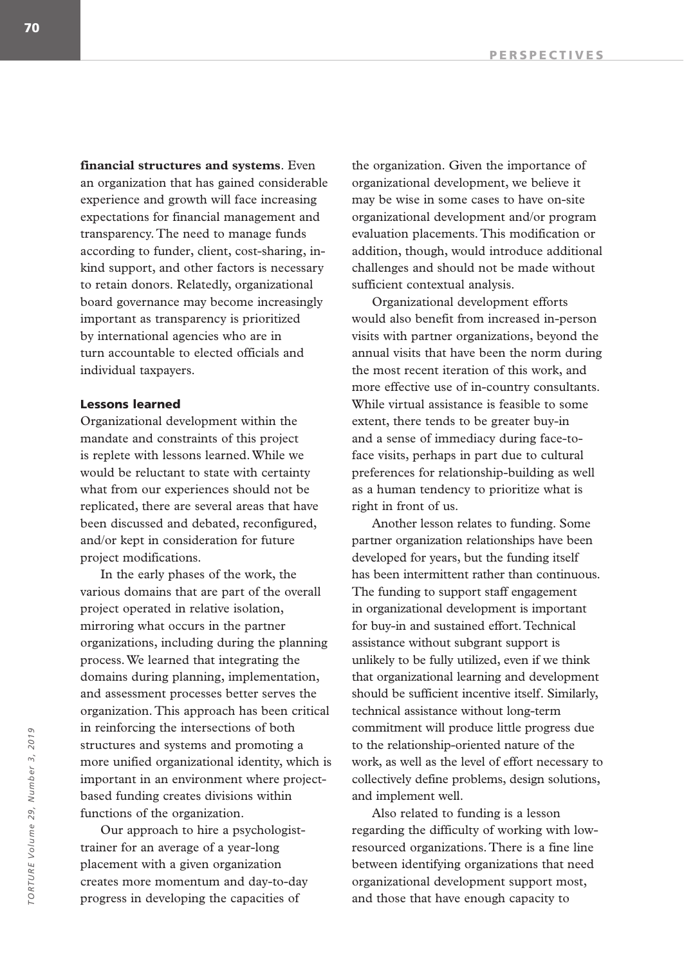**financial structures and systems**. Even an organization that has gained considerable experience and growth will face increasing expectations for financial management and transparency. The need to manage funds according to funder, client, cost-sharing, inkind support, and other factors is necessary to retain donors. Relatedly, organizational board governance may become increasingly important as transparency is prioritized by international agencies who are in turn accountable to elected officials and individual taxpayers.

## Lessons learned

Organizational development within the mandate and constraints of this project is replete with lessons learned. While we would be reluctant to state with certainty what from our experiences should not be replicated, there are several areas that have been discussed and debated, reconfigured, and/or kept in consideration for future project modifications.

In the early phases of the work, the various domains that are part of the overall project operated in relative isolation, mirroring what occurs in the partner organizations, including during the planning process. We learned that integrating the domains during planning, implementation, and assessment processes better serves the organization. This approach has been critical in reinforcing the intersections of both structures and systems and promoting a more unified organizational identity, which is important in an environment where projectbased funding creates divisions within functions of the organization.

Our approach to hire a psychologisttrainer for an average of a year-long placement with a given organization creates more momentum and day-to-day progress in developing the capacities of

the organization. Given the importance of organizational development, we believe it may be wise in some cases to have on-site organizational development and/or program evaluation placements. This modification or addition, though, would introduce additional challenges and should not be made without sufficient contextual analysis.

Organizational development efforts would also benefit from increased in-person visits with partner organizations, beyond the annual visits that have been the norm during the most recent iteration of this work, and more effective use of in-country consultants. While virtual assistance is feasible to some extent, there tends to be greater buy-in and a sense of immediacy during face-toface visits, perhaps in part due to cultural preferences for relationship-building as well as a human tendency to prioritize what is right in front of us.

Another lesson relates to funding. Some partner organization relationships have been developed for years, but the funding itself has been intermittent rather than continuous. The funding to support staff engagement in organizational development is important for buy-in and sustained effort. Technical assistance without subgrant support is unlikely to be fully utilized, even if we think that organizational learning and development should be sufficient incentive itself. Similarly, technical assistance without long-term commitment will produce little progress due to the relationship-oriented nature of the work, as well as the level of effort necessary to collectively define problems, design solutions, and implement well.

Also related to funding is a lesson regarding the difficulty of working with lowresourced organizations. There is a fine line between identifying organizations that need organizational development support most, and those that have enough capacity to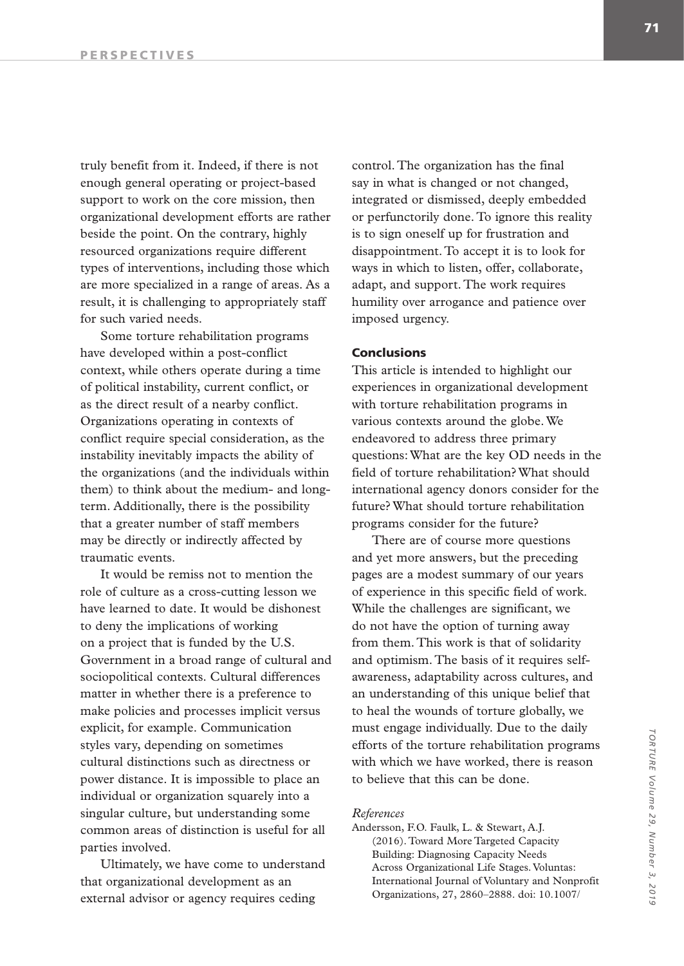truly benefit from it. Indeed, if there is not enough general operating or project-based support to work on the core mission, then organizational development efforts are rather beside the point. On the contrary, highly resourced organizations require different types of interventions, including those which are more specialized in a range of areas. As a result, it is challenging to appropriately staff for such varied needs.

Some torture rehabilitation programs have developed within a post-conflict context, while others operate during a time of political instability, current conflict, or as the direct result of a nearby conflict. Organizations operating in contexts of conflict require special consideration, as the instability inevitably impacts the ability of the organizations (and the individuals within them) to think about the medium- and longterm. Additionally, there is the possibility that a greater number of staff members may be directly or indirectly affected by traumatic events.

It would be remiss not to mention the role of culture as a cross-cutting lesson we have learned to date. It would be dishonest to deny the implications of working on a project that is funded by the U.S. Government in a broad range of cultural and sociopolitical contexts. Cultural differences matter in whether there is a preference to make policies and processes implicit versus explicit, for example. Communication styles vary, depending on sometimes cultural distinctions such as directness or power distance. It is impossible to place an individual or organization squarely into a singular culture, but understanding some common areas of distinction is useful for all parties involved.

Ultimately, we have come to understand that organizational development as an external advisor or agency requires ceding

control. The organization has the final say in what is changed or not changed, integrated or dismissed, deeply embedded or perfunctorily done. To ignore this reality is to sign oneself up for frustration and disappointment. To accept it is to look for ways in which to listen, offer, collaborate, adapt, and support. The work requires humility over arrogance and patience over imposed urgency.

#### Conclusions

This article is intended to highlight our experiences in organizational development with torture rehabilitation programs in various contexts around the globe. We endeavored to address three primary questions: What are the key OD needs in the field of torture rehabilitation? What should international agency donors consider for the future? What should torture rehabilitation programs consider for the future?

There are of course more questions and yet more answers, but the preceding pages are a modest summary of our years of experience in this specific field of work. While the challenges are significant, we do not have the option of turning away from them. This work is that of solidarity and optimism. The basis of it requires selfawareness, adaptability across cultures, and an understanding of this unique belief that to heal the wounds of torture globally, we must engage individually. Due to the daily efforts of the torture rehabilitation programs with which we have worked, there is reason to believe that this can be done.

#### *References*

Andersson, F.O. Faulk, L. & Stewart, A.J. (2016). Toward More Targeted Capacity Building: Diagnosing Capacity Needs Across Organizational Life Stages. Voluntas: International Journal of Voluntary and Nonprofit Organizations, 27, 2860–2888. doi: 10.1007/